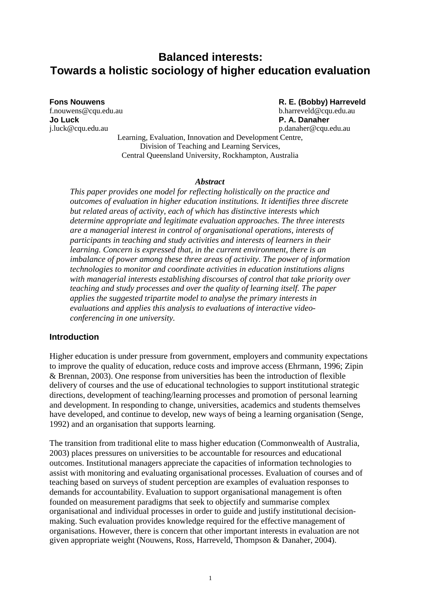# **Balanced interests: Towards a holistic sociology of higher education evaluation**

**Jo Luck P. A. Danaher** j.luck@cqu.edu.au p.danaher@cqu.edu.au

**Fons Nouwens R. E. (Bobby) Harreveld** f.nouwens@cqu.edu.au b.harreveld@cqu.edu.au

Learning, Evaluation, Innovation and Development Centre, Division of Teaching and Learning Services, Central Queensland University, Rockhampton, Australia

#### *Abstract*

*This paper provides one model for reflecting holistically on the practice and outcomes of evaluation in higher education institutions. It identifies three discrete but related areas of activity, each of which has distinctive interests which determine appropriate and legitimate evaluation approaches. The three interests are a managerial interest in control of organisational operations, interests of participants in teaching and study activities and interests of learners in their learning. Concern is expressed that, in the current environment, there is an imbalance of power among these three areas of activity. The power of information technologies to monitor and coordinate activities in education institutions aligns with managerial interests establishing discourses of control that take priority over teaching and study processes and over the quality of learning itself. The paper applies the suggested tripartite model to analyse the primary interests in evaluations and applies this analysis to evaluations of interactive videoconferencing in one university.*

### **Introduction**

Higher education is under pressure from government, employers and community expectations to improve the quality of education, reduce costs and improve access (Ehrmann, 1996; Zipin & Brennan, 2003). One response from universities has been the introduction of flexible delivery of courses and the use of educational technologies to support institutional strategic directions, development of teaching/learning processes and promotion of personal learning and development. In responding to change, universities, academics and students themselves have developed, and continue to develop, new ways of being a learning organisation (Senge, 1992) and an organisation that supports learning.

The transition from traditional elite to mass higher education (Commonwealth of Australia, 2003) places pressures on universities to be accountable for resources and educational outcomes. Institutional managers appreciate the capacities of information technologies to assist with monitoring and evaluating organisational processes. Evaluation of courses and of teaching based on surveys of student perception are examples of evaluation responses to demands for accountability. Evaluation to support organisational management is often founded on measurement paradigms that seek to objectify and summarise complex organisational and individual processes in order to guide and justify institutional decisionmaking. Such evaluation provides knowledge required for the effective management of organisations. However, there is concern that other important interests in evaluation are not given appropriate weight (Nouwens, Ross, Harreveld, Thompson & Danaher, 2004).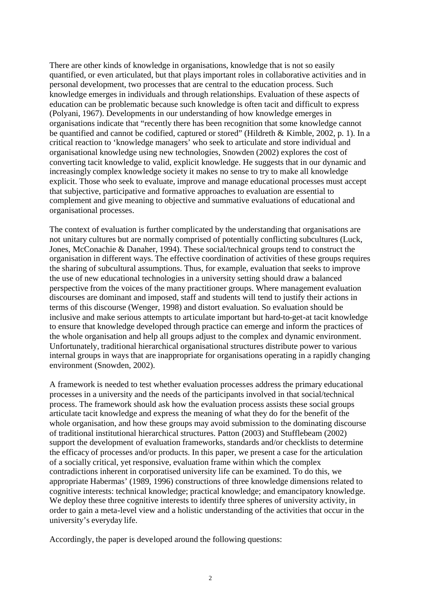There are other kinds of knowledge in organisations, knowledge that is not so easily quantified, or even articulated, but that plays important roles in collaborative activities and in personal development, two processes that are central to the education process. Such knowledge emerges in individuals and through relationships. Evaluation of these aspects of education can be problematic because such knowledge is often tacit and difficult to express (Polyani, 1967). Developments in our understanding of how knowledge emerges in organisations indicate that "recently there has been recognition that some knowledge cannot be quantified and cannot be codified, captured or stored" (Hildreth & Kimble, 2002, p. 1). In a critical reaction to 'knowledge managers' who seek to articulate and store individual and organisational knowledge using new technologies, Snowden (2002) explores the cost of converting tacit knowledge to valid, explicit knowledge. He suggests that in our dynamic and increasingly complex knowledge society it makes no sense to try to make all knowledge explicit. Those who seek to evaluate, improve and manage educational processes must accept that subjective, participative and formative approaches to evaluation are essential to complement and give meaning to objective and summative evaluations of educational and organisational processes.

The context of evaluation is further complicated by the understanding that organisations are not unitary cultures but are normally comprised of potentially conflicting subcultures (Luck, Jones, McConachie & Danaher, 1994). These social/technical groups tend to construct the organisation in different ways. The effective coordination of activities of these groups requires the sharing of subcultural assumptions. Thus, for example, evaluation that seeks to improve the use of new educational technologies in a university setting should draw a balanced perspective from the voices of the many practitioner groups. Where management evaluation discourses are dominant and imposed, staff and students will tend to justify their actions in terms of this discourse (Wenger, 1998) and distort evaluation. So evaluation should be inclusive and make serious attempts to articulate important but hard-to-get-at tacit knowledge to ensure that knowledge developed through practice can emerge and inform the practices of the whole organisation and help all groups adjust to the complex and dynamic environment. Unfortunately, traditional hierarchical organisational structures distribute power to various internal groups in ways that are inappropriate for organisations operating in a rapidly changing environment (Snowden, 2002).

A framework is needed to test whether evaluation processes address the primary educational processes in a university and the needs of the participants involved in that social/technical process. The framework should ask how the evaluation process assists these social groups articulate tacit knowledge and express the meaning of what they do for the benefit of the whole organisation, and how these groups may avoid submission to the dominating discourse of traditional institutional hierarchical structures. Patton (2003) and Stufflebeam (2002) support the development of evaluation frameworks, standards and/or checklists to determine the efficacy of processes and/or products. In this paper, we present a case for the articulation of a socially critical, yet responsive, evaluation frame within which the complex contradictions inherent in corporatised university life can be examined. To do this, we appropriate Habermas' (1989, 1996) constructions of three knowledge dimensions related to cognitive interests: technical knowledge; practical knowledge; and emancipatory knowledge. We deploy these three cognitive interests to identify three spheres of university activity, in order to gain a meta-level view and a holistic understanding of the activities that occur in the university's everyday life.

Accordingly, the paper is developed around the following questions: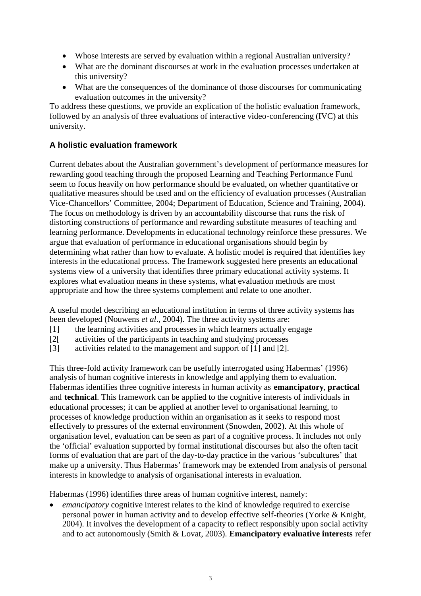- Whose interests are served by evaluation within a regional Australian university?
- What are the dominant discourses at work in the evaluation processes undertaken at this university?
- What are the consequences of the dominance of those discourses for communicating evaluation outcomes in the university?

To address these questions, we provide an explication of the holistic evaluation framework, followed by an analysis of three evaluations of interactive video-conferencing (IVC) at this university.

# **A holistic evaluation framework**

Current debates about the Australian government's development of performance measures for rewarding good teaching through the proposed Learning and Teaching Performance Fund seem to focus heavily on how performance should be evaluated, on whether quantitative or qualitative measures should be used and on the efficiency of evaluation processes (Australian Vice-Chancellors' Committee, 2004; Department of Education, Science and Training, 2004). The focus on methodology is driven by an accountability discourse that runs the risk of distorting constructions of performance and rewarding substitute measures of teaching and learning performance. Developments in educational technology reinforce these pressures. We argue that evaluation of performance in educational organisations should begin by determining what rather than how to evaluate. A holistic model is required that identifies key interests in the educational process. The framework suggested here presents an educational systems view of a university that identifies three primary educational activity systems. It explores what evaluation means in these systems, what evaluation methods are most appropriate and how the three systems complement and relate to one another.

A useful model describing an educational institution in terms of three activity systems has been developed (Nouwens *et al*., 2004). The three activity systems are:

- [1] the learning activities and processes in which learners actually engage
- [2[ activities of the participants in teaching and studying processes
- [3] activities related to the management and support of [1] and [2].

This three-fold activity framework can be usefully interrogated using Habermas' (1996) analysis of human cognitive interests in knowledge and applying them to evaluation. Habermas identifies three cognitive interests in human activity as **emancipatory**, **practical** and **technical**. This framework can be applied to the cognitive interests of individuals in educational processes; it can be applied at another level to organisational learning, to processes of knowledge production within an organisation as it seeks to respond most effectively to pressures of the external environment (Snowden, 2002). At this whole of organisation level, evaluation can be seen as part of a cognitive process. It includes not only the 'official' evaluation supported by formal institutional discourses but also the often tacit forms of evaluation that are part of the day-to-day practice in the various 'subcultures' that make up a university. Thus Habermas' framework may be extended from analysis of personal interests in knowledge to analysis of organisational interests in evaluation.

Habermas (1996) identifies three areas of human cognitive interest, namely:

*emancipatory* cognitive interest relates to the kind of knowledge required to exercise personal power in human activity and to develop effective self-theories (Yorke & Knight, 2004). It involves the development of a capacity to reflect responsibly upon social activity and to act autonomously (Smith & Lovat, 2003). **Emancipatory evaluative interests** refer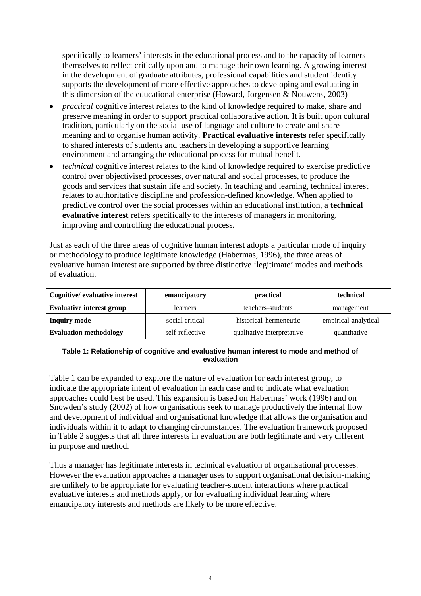specifically to learners' interests in the educational process and to the capacity of learners themselves to reflect critically upon and to manage their own learning. A growing interest in the development of graduate attributes, professional capabilities and student identity supports the development of more effective approaches to developing and evaluating in this dimension of the educational enterprise (Howard, Jorgensen & Nouwens, 2003)

- **•** *practical* cognitive interest relates to the kind of knowledge required to make, share and preserve meaning in order to support practical collaborative action. It is built upon cultural tradition, particularly on the social use of language and culture to create and share meaning and to organise human activity. **Practical evaluative interests** refer specifically to shared interests of students and teachers in developing a supportive learning environment and arranging the educational process for mutual benefit.
- *technical* cognitive interest relates to the kind of knowledge required to exercise predictive control over objectivised processes, over natural and social processes, to produce the goods and services that sustain life and society. In teaching and learning, technical interest relates to authoritative discipline and profession-defined knowledge. When applied to predictive control over the social processes within an educational institution, a **technical evaluative interest** refers specifically to the interests of managers in monitoring, improving and controlling the educational process.

Just as each of the three areas of cognitive human interest adopts a particular mode of inquiry or methodology to produce legitimate knowledge (Habermas, 1996), the three areas of evaluative human interest are supported by three distinctive 'legitimate' modes and methods of evaluation.

| Cognitive/ evaluative interest   | emancipatory    | practical                  | technical            |  |
|----------------------------------|-----------------|----------------------------|----------------------|--|
| <b>Evaluative interest group</b> | learners        | teachers-students          | management           |  |
| <b>Inquiry mode</b>              | social-critical | historical-hermeneutic     | empirical-analytical |  |
| <b>Evaluation methodology</b>    | self-reflective | qualitative-interpretative | quantitative         |  |

#### **Table 1: Relationship of cognitive and evaluative human interest to mode and method of evaluation**

Table 1 can be expanded to explore the nature of evaluation for each interest group, to indicate the appropriate intent of evaluation in each case and to indicate what evaluation approaches could best be used. This expansion is based on Habermas' work (1996) and on Snowden's study (2002) of how organisations seek to manage productively the internal flow and development of individual and organisational knowledge that allows the organisation and individuals within it to adapt to changing circumstances. The evaluation framework proposed in Table 2 suggests that all three interests in evaluation are both legitimate and very different in purpose and method.

Thus a manager has legitimate interests in technical evaluation of organisational processes. However the evaluation approaches a manager uses to support organisational decision-making are unlikely to be appropriate for evaluating teacher-student interactions where practical evaluative interests and methods apply, or for evaluating individual learning where emancipatory interests and methods are likely to be more effective.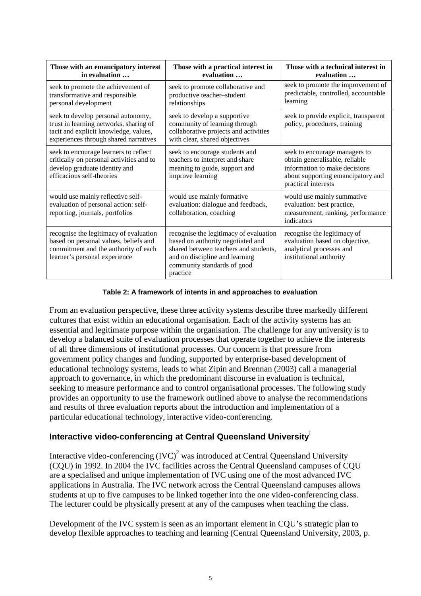| Those with an emancipatory interest<br>in evaluation                                                                                                           | Those with a practical interest in<br>evaluation                                                                                                                                                  | Those with a technical interest in<br>evaluation                                                                                                             |  |  |
|----------------------------------------------------------------------------------------------------------------------------------------------------------------|---------------------------------------------------------------------------------------------------------------------------------------------------------------------------------------------------|--------------------------------------------------------------------------------------------------------------------------------------------------------------|--|--|
| seek to promote the achievement of<br>transformative and responsible<br>personal development                                                                   | seek to promote collaborative and<br>productive teacher-student<br>relationships                                                                                                                  | seek to promote the improvement of<br>predictable, controlled, accountable<br>learning                                                                       |  |  |
| seek to develop personal autonomy,<br>trust in learning networks, sharing of<br>tacit and explicit knowledge, values,<br>experiences through shared narratives | seek to develop a supportive<br>community of learning through<br>collaborative projects and activities<br>with clear, shared objectives                                                           | seek to provide explicit, transparent<br>policy, procedures, training                                                                                        |  |  |
| seek to encourage learners to reflect<br>critically on personal activities and to<br>develop graduate identity and<br>efficacious self-theories                | seek to encourage students and<br>teachers to interpret and share<br>meaning to guide, support and<br>improve learning                                                                            | seek to encourage managers to<br>obtain generalisable, reliable<br>information to make decisions<br>about supporting emancipatory and<br>practical interests |  |  |
| would use mainly reflective self-<br>evaluation of personal action: self-<br>reporting, journals, portfolios                                                   | would use mainly formative<br>evaluation: dialogue and feedback,<br>collaboration, coaching                                                                                                       | would use mainly summative<br>evaluation: best practice,<br>measurement, ranking, performance<br>indicators                                                  |  |  |
| recognise the legitimacy of evaluation<br>based on personal values, beliefs and<br>commitment and the authority of each<br>learner's personal experience       | recognise the legitimacy of evaluation<br>based on authority negotiated and<br>shared between teachers and students,<br>and on discipline and learning<br>community standards of good<br>practice | recognise the legitimacy of<br>evaluation based on objective,<br>analytical processes and<br>institutional authority                                         |  |  |

#### **Table 2: A framework of intents in and approaches to evaluation**

From an evaluation perspective, these three activity systems describe three markedly different cultures that exist within an educational organisation. Each of the activity systems has an essential and legitimate purpose within the organisation. The challenge for any university is to develop a balanced suite of evaluation processes that operate together to achieve the interests of all three dimensions of institutional processes. Our concern is that pressure from government policy changes and funding, supported by enterprise-based development of educational technology systems, leads to what Zipin and Brennan (2003) call a managerial approach to governance, in which the predominant discourse in evaluation is technical, seeking to measure performance and to control organisational processes. The following study provides an opportunity to use the framework outlined above to analyse the recommendations and results of three evaluation reports about the introduction and implementation of a particular educational technology, interactive video-conferencing.

# Interactive video-conferencing at Central Queensland University<sup>1</sup>

Interactive video-conferencing  ${(IVC)}^2$  was introduced at Central Queensland University (CQU) in 1992. In 2004 the IVC facilities across the Central Queensland campuses of CQU are a specialised and unique implementation of IVC using one of the most advanced IVC applications in Australia. The IVC network across the Central Queensland campuses allows students at up to five campuses to be linked together into the one video-conferencing class. The lecturer could be physically present at any of the campuses when teaching the class.

Development of the IVC system is seen as an important element in COU's strategic plan to develop flexible approaches to teaching and learning (Central Queensland University, 2003, p.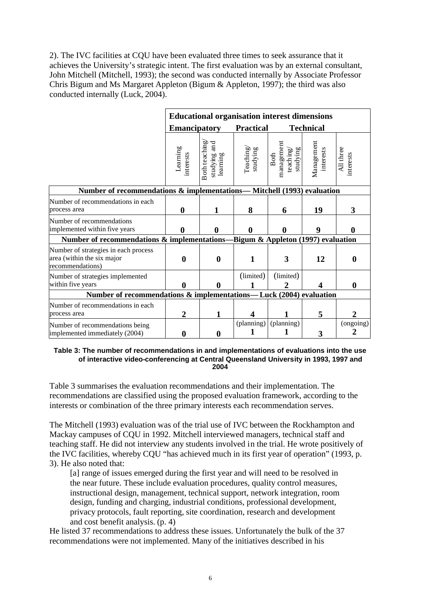2). The IVC facilities at CQU have been evaluated three times to seek assurance that it achieves the University's strategic intent. The first evaluation was by an external consultant, John Mitchell (Mitchell, 1993); the second was conducted internally by Associate Professor Chris Bigum and Ms Margaret Appleton (Bigum & Appleton, 1997); the third was also conducted internally (Luck, 2004).

|                                                                                        | <b>Educational organisation interest dimensions</b> |                                           |                       |                                                      |                         |                        |  |  |
|----------------------------------------------------------------------------------------|-----------------------------------------------------|-------------------------------------------|-----------------------|------------------------------------------------------|-------------------------|------------------------|--|--|
|                                                                                        | <b>Emancipatory</b>                                 |                                           | <b>Practical</b>      |                                                      | <b>Technical</b>        |                        |  |  |
|                                                                                        | Learning<br>interests                               | Both teaching<br>studying and<br>learning | Teaching/<br>studying | management<br>studying<br>teach ing,<br><b>B</b> oth | Management<br>interests | All three<br>interests |  |  |
| Number of recommendations & implementations— Mitchell (1993) evaluation                |                                                     |                                           |                       |                                                      |                         |                        |  |  |
| Number of recommendations in each<br>process area                                      | $\boldsymbol{0}$                                    |                                           | 8                     | 6                                                    | 19                      | 3                      |  |  |
| Number of recommendations<br>implemented within five years                             | 0                                                   | 0                                         |                       | 0                                                    | 9                       |                        |  |  |
| Number of recommendations & implementations-<br>Bigum & Appleton (1997) evaluation     |                                                     |                                           |                       |                                                      |                         |                        |  |  |
| Number of strategies in each process<br>area (within the six major<br>recommendations) | $\boldsymbol{0}$                                    | $\bf{0}$                                  |                       | 3                                                    | 12                      | 0                      |  |  |
| Number of strategies implemented<br>within five years                                  | A                                                   | 0                                         | (limited)             | (limited)<br>2                                       |                         | 0                      |  |  |
| Number of recommendations & implementations—Luck (2004) evaluation                     |                                                     |                                           |                       |                                                      |                         |                        |  |  |
| Number of recommendations in each<br>process area                                      | $\overline{2}$                                      | 1                                         | 4                     |                                                      | 5                       |                        |  |  |
| Number of recommendations being<br>implemented immediately (2004)                      |                                                     | 0                                         | (planning)            | (planning)                                           | 3                       | (ongoing)              |  |  |

**Table 3: The number of recommendations in and implementations of evaluations into the use of interactive video-conferencing at Central Queensland University in 1993, 1997 and 2004**

Table 3 summarises the evaluation recommendations and their implementation. The recommendations are classified using the proposed evaluation framework, according to the interests or combination of the three primary interests each recommendation serves.

The Mitchell (1993) evaluation was of the trial use of IVC between the Rockhampton and Mackay campuses of CQU in 1992. Mitchell interviewed managers, technical staff and teaching staff. He did not interview any students involved in the trial. He wrote positively of the IVC facilities, whereby CQU "has achieved much in its first year of operation" (1993, p. 3). He also noted that:

[a] range of issues emerged during the first year and will need to be resolved in the near future. These include evaluation procedures, quality control measures, instructional design, management, technical support, network integration, room design, funding and charging, industrial conditions, professional development, privacy protocols, fault reporting, site coordination, research and development and cost benefit analysis. (p. 4)

He listed 37 recommendations to address these issues. Unfortunately the bulk of the 37 recommendations were not implemented. Many of the initiatives described in his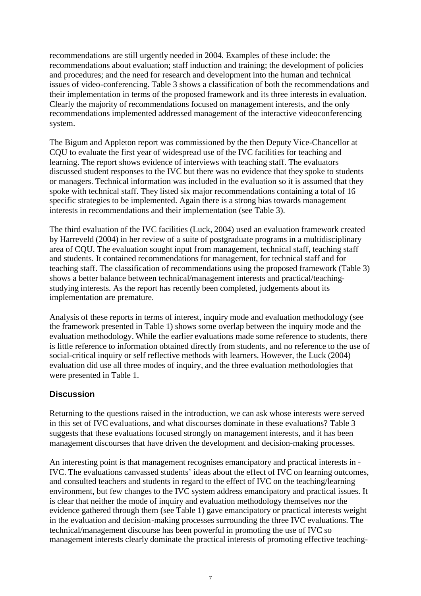recommendations are still urgently needed in 2004. Examples of these include: the recommendations about evaluation; staff induction and training; the development of policies and procedures; and the need for research and development into the human and technical issues of video-conferencing. Table 3 shows a classification of both the recommendations and their implementation in terms of the proposed framework and its three interests in evaluation. Clearly the majority of recommendations focused on management interests, and the only recommendations implemented addressed management of the interactive videoconferencing system.

The Bigum and Appleton report was commissioned by the then Deputy Vice-Chancellor at CQU to evaluate the first year of widespread use of the IVC facilities for teaching and learning. The report shows evidence of interviews with teaching staff. The evaluators discussed student responses to the IVC but there was no evidence that they spoke to students or managers. Technical information was included in the evaluation so it is assumed that they spoke with technical staff. They listed six major recommendations containing a total of 16 specific strategies to be implemented. Again there is a strong bias towards management interests in recommendations and their implementation (see Table 3).

The third evaluation of the IVC facilities (Luck, 2004) used an evaluation framework created by Harreveld (2004) in her review of a suite of postgraduate programs in a multidisciplinary area of CQU. The evaluation sought input from management, technical staff, teaching staff and students. It contained recommendations for management, for technical staff and for teaching staff. The classification of recommendations using the proposed framework (Table 3) shows a better balance between technical/management interests and practical/teachingstudying interests. As the report has recently been completed, judgements about its implementation are premature.

Analysis of these reports in terms of interest, inquiry mode and evaluation methodology (see the framework presented in Table 1) shows some overlap between the inquiry mode and the evaluation methodology. While the earlier evaluations made some reference to students, there is little reference to information obtained directly from students, and no reference to the use of social-critical inquiry or self reflective methods with learners. However, the Luck (2004) evaluation did use all three modes of inquiry, and the three evaluation methodologies that were presented in Table 1.

### **Discussion**

Returning to the questions raised in the introduction, we can ask whose interests were served in this set of IVC evaluations, and what discourses dominate in these evaluations? Table 3 suggests that these evaluations focused strongly on management interests, and it has been management discourses that have driven the development and decision-making processes.

An interesting point is that management recognises emancipatory and practical interests in - IVC. The evaluations canvassed students' ideas about the effect of IVC on learning outcomes, and consulted teachers and students in regard to the effect of IVC on the teaching/learning environment, but few changes to the IVC system address emancipatory and practical issues. It is clear that neither the mode of inquiry and evaluation methodology themselves nor the evidence gathered through them (see Table 1) gave emancipatory or practical interests weight in the evaluation and decision-making processes surrounding the three IVC evaluations. The technical/management discourse has been powerful in promoting the use of IVC so management interests clearly dominate the practical interests of promoting effective teaching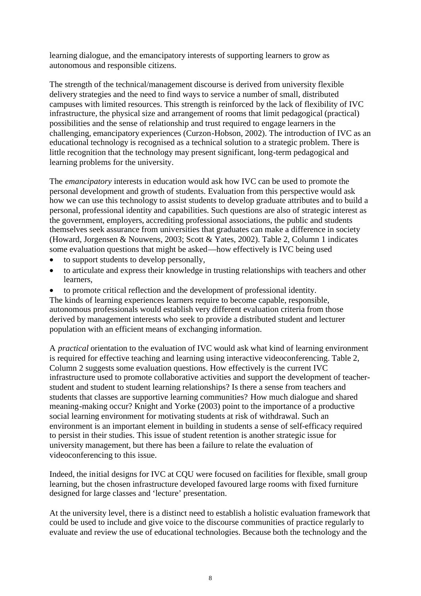learning dialogue, and the emancipatory interests of supporting learners to grow as autonomous and responsible citizens.

The strength of the technical/management discourse is derived from university flexible delivery strategies and the need to find ways to service a number of small, distributed campuses with limited resources. This strength is reinforced by the lack of flexibility of IVC infrastructure, the physical size and arrangement of rooms that limit pedagogical (practical) possibilities and the sense of relationship and trust required to engage learners in the challenging, emancipatory experiences (Curzon-Hobson, 2002). The introduction of IVC as an educational technology is recognised as a technical solution to a strategic problem. There is little recognition that the technology may present significant, long-term pedagogical and learning problems for the university.

The *emancipatory* interests in education would ask how IVC can be used to promote the personal development and growth of students. Evaluation from this perspective would ask how we can use this technology to assist students to develop graduate attributes and to build a personal, professional identity and capabilities. Such questions are also of strategic interest as the government, employers, accrediting professional associations, the public and students themselves seek assurance from universities that graduates can make a difference in society (Howard, Jorgensen & Nouwens, 2003; Scott & Yates, 2002). Table 2, Column 1 indicates some evaluation questions that might be asked—how effectively is IVC being used

- to support students to develop personally,
- to articulate and express their knowledge in trusting relationships with teachers and other learners,
- to promote critical reflection and the development of professional identity.

The kinds of learning experiences learners require to become capable, responsible, autonomous professionals would establish very different evaluation criteria from those derived by management interests who seek to provide a distributed student and lecturer population with an efficient means of exchanging information.

A *practical* orientation to the evaluation of IVC would ask what kind of learning environment is required for effective teaching and learning using interactive videoconferencing. Table 2, Column 2 suggests some evaluation questions. How effectively is the current IVC infrastructure used to promote collaborative activities and support the development of teacherstudent and student to student learning relationships? Is there a sense from teachers and students that classes are supportive learning communities? How much dialogue and shared meaning-making occur? Knight and Yorke (2003) point to the importance of a productive social learning environment for motivating students at risk of withdrawal. Such an environment is an important element in building in students a sense of self-efficacy required to persist in their studies. This issue of student retention is another strategic issue for university management, but there has been a failure to relate the evaluation of videoconferencing to this issue.

Indeed, the initial designs for IVC at CQU were focused on facilities for flexible, small group learning, but the chosen infrastructure developed favoured large rooms with fixed furniture designed for large classes and 'lecture' presentation.

At the university level, there is a distinct need to establish a holistic evaluation framework that could be used to include and give voice to the discourse communities of practice regularly to evaluate and review the use of educational technologies. Because both the technology and the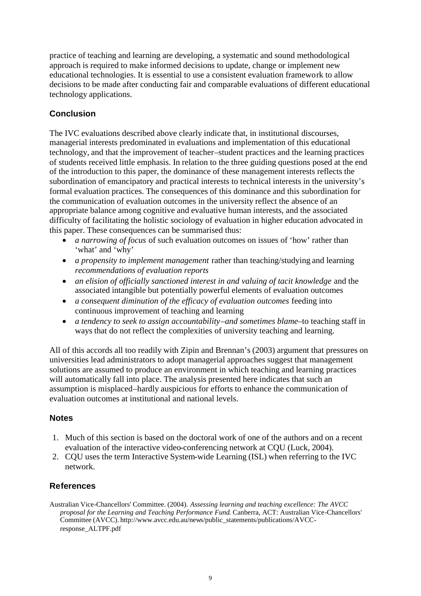practice of teaching and learning are developing, a systematic and sound methodological approach is required to make informed decisions to update, change or implement new educational technologies. It is essential to use a consistent evaluation framework to allow decisions to be made after conducting fair and comparable evaluations of different educational technology applications.

# **Conclusion**

The IVC evaluations described above clearly indicate that, in institutional discourses, managerial interests predominated in evaluations and implementation of this educational technology, and that the improvement of teacher–student practices and the learning practices of students received little emphasis. In relation to the three guiding questions posed at the end of the introduction to this paper, the dominance of these management interests reflects the subordination of emancipatory and practical interests to technical interests in the university's formal evaluation practices. The consequences of this dominance and this subordination for the communication of evaluation outcomes in the university reflect the absence of an appropriate balance among cognitive and evaluative human interests, and the associated difficulty of facilitating the holistic sociology of evaluation in higher education advocated in this paper. These consequences can be summarised thus:

- *a narrowing of focus* of such evaluation outcomes on issues of 'how' rather than 'what' and 'why'
- *a propensity to implement management* rather than teaching/studying and learning *recommendations of evaluation reports*
- *an elision of officially sanctioned interest in and valuing of tacit knowledge* and the associated intangible but potentially powerful elements of evaluation outcomes
- *a consequent diminution of the efficacy of evaluation outcomes* feeding into continuous improvement of teaching and learning
- *a tendency to seek to assign accountability–and sometimes blame–*to teaching staff in ways that do not reflect the complexities of university teaching and learning.

All of this accords all too readily with Zipin and Brennan's (2003) argument that pressures on universities lead administrators to adopt managerial approaches suggest that management solutions are assumed to produce an environment in which teaching and learning practices will automatically fall into place. The analysis presented here indicates that such an assumption is misplaced–hardly auspicious for efforts to enhance the communication of evaluation outcomes at institutional and national levels.

### **Notes**

- 1. Much of this section is based on the doctoral work of one of the authors and on a recent evaluation of the interactive video-conferencing network at CQU (Luck, 2004).
- 2. CQU uses the term Interactive System-wide Learning (ISL) when referring to the IVC network.

### **References**

Australian Vice-Chancellors' Committee. (2004). *Assessing learning and teaching excellence: The AVCC proposal for the Learning and Teaching Performance Fund*. Canberra, ACT: Australian Vice-Chancellors' Committee (AVCC). http://www.avcc.edu.au/news/public\_statements/publications/AVCCresponse\_ALTPF.pdf